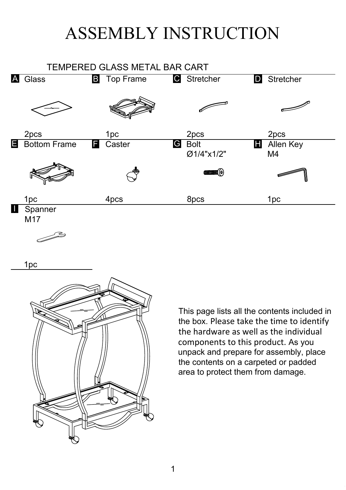## ASSEMBLY INSTRUCTION



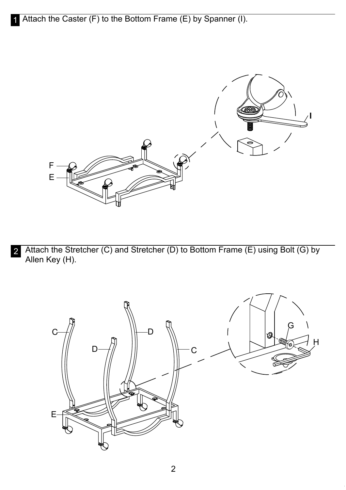

2 Attach the Stretcher (C) and Stretcher (D) to Bottom Frame (E) using Bolt (G) by Allen Key (H).